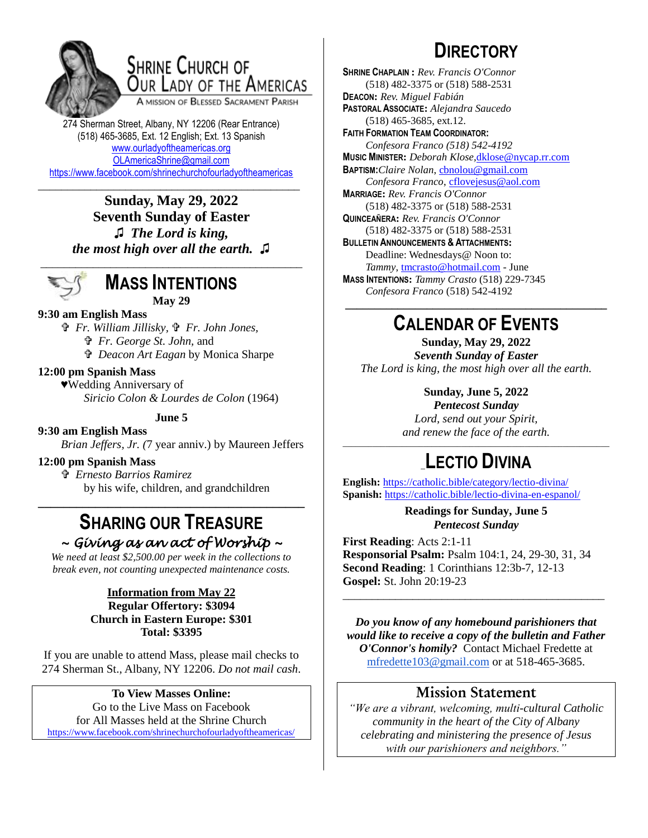

## SHRINE CHURCH OF OUR LADY OF THE AMERICAS

A MISSION OF BLESSED SACRAMENT PARISH

274 Sherman Street, Albany, NY 12206 (Rear Entrance) (518) 465-3685, Ext. 12 English; Ext. 13 Spanish [www.ourladyoftheamericas.org](http://www.ourladyoftheamericas.org/) [OLAmericaShrine@gmail.com](mailto:OLAmericaShrine@gmail.com) <https://www.facebook.com/shrinechurchofourladyoftheamericas>

**Sunday, May 29, 2022 Seventh Sunday of Easter ♫** *The Lord is king, the most high over all the earth.* **♫**

\_\_\_\_\_\_\_\_\_\_\_\_\_\_\_\_\_\_\_\_\_\_\_\_\_\_\_\_\_\_\_\_\_\_\_\_\_\_\_\_\_\_\_\_\_



**MASS INTENTIONS May 29**

### **9:30 am English Mass**

 *Fr. William Jillisky, Fr. John Jones, Fr. George St. John,* and  *Deacon Art Eagan* by Monica Sharpe

### **12:00 pm Spanish Mass**

♥Wedding Anniversary of *Siricio Colon & Lourdes de Colon* (1964)

**June 5**

**9:30 am English Mass**

*Brian Jeffers, Jr. (*7 year anniv.) by Maureen Jeffers

### **12:00 pm Spanish Mass**

 *Ernesto Barrios Ramirez* by his wife, children, and grandchildren

### **SHARING OUR TREASURE** *~ Giving as an act of Worship ~*

**\_\_\_\_\_\_\_\_\_\_\_\_\_\_\_\_\_\_\_\_\_\_\_\_\_\_\_\_\_\_\_\_\_\_\_\_\_\_\_\_\_\_**

*We need at least \$2,500.00 per week in the collections to break even, not counting unexpected maintenance costs.*

#### **Information from May 22 Regular Offertory: \$3094 Church in Eastern Europe: \$301 Total: \$3395**

If you are unable to attend Mass, please mail checks to 274 Sherman St., Albany, NY 12206. *Do not mail cash*.

#### **To View Masses Online:** Go to the Live Mass on Facebook for All Masses held at the Shrine Church <https://www.facebook.com/shrinechurchofourladyoftheamericas/>

# **DIRECTORY**

**SHRINE CHAPLAIN :** *Rev. Francis O'Connor* (518) 482-3375 or (518) 588-2531 **DEACON:** *Rev. Miguel Fabián* **PASTORAL ASSOCIATE:** *Alejandra Saucedo* (518) 465-3685, ext.12. **FAITH FORMATION TEAM COORDINATOR:** *Confesora Franco (518) 542-4192* **MUSIC MINISTER:** *Deborah Klose,*[dklose@nycap.rr.com](mailto:dklose@nycap.rr.com) **BAPTISM:***Claire Nolan*, [cbnolou@gmail.com](mailto:cbnolou@gmail.com) *Confesora Franco*, [cflovejesus@aol.com](mailto:cflovejesus@aol.com) **MARRIAGE:** *Rev. Francis O'Connor* (518) 482-3375 or (518) 588-2531 **QUINCEAÑERA:** *Rev. Francis O'Connor* (518) 482-3375 or (518) 588-2531 **BULLETIN ANNOUNCEMENTS & ATTACHMENTS:** Deadline: Wednesdays@ Noon to: *Tammy*, [tmcrasto@hotmail.com](mailto:tmcrasto@hotmail.com) - June **MASS INTENTIONS:** *Tammy Crasto* (518) 229-7345 *Confesora Franco* (518) 542-4192 **\_\_\_\_\_\_\_\_\_\_\_\_\_\_\_\_\_\_\_\_\_\_\_\_\_\_\_\_\_\_\_\_\_\_\_\_\_\_\_\_\_\_\_\_\_**

## **CALENDAR OF EVENTS**

**Sunday, May 29, 2022** *Seventh Sunday of Easter The Lord is king, the most high over all the earth.*

### **Sunday, June 5, 2022**

*Pentecost Sunday Lord, send out your Spirit, and renew the face of the earth.*

### \_\_\_\_\_\_\_\_\_\_\_\_\_\_\_\_\_\_\_\_\_\_\_\_\_\_\_\_\_\_\_\_\_\_\_\_\_\_\_\_\_\_\_\_\_\_\_\_\_\_\_\_\_\_\_\_\_\_\_\_\_\_\_ \_**LECTIO DIVINA**

**English:** <https://catholic.bible/category/lectio-divina/> **Spanish:** <https://catholic.bible/lectio-divina-en-espanol/>

> **Readings for Sunday, June 5** *Pentecost Sunday*

**First Reading**: Acts 2:1-11 **Responsorial Psalm:** Psalm 104:1, 24, 29-30, 31, 34 **Second Reading**: 1 Corinthians 12:3b-7, 12-13 **Gospel:** St. John 20:19-23

*Do you know of any homebound parishioners that would like to receive a copy of the bulletin and Father O'Connor's homily?* Contact Michael Fredette at [mfredette103@gmail.com](mailto:mfredette103@gmail.com) or at 518-465-3685.

\_\_\_\_\_\_\_\_\_\_\_\_\_\_\_\_\_\_\_\_\_\_\_\_\_\_\_\_\_\_\_\_\_\_\_\_\_\_\_\_\_\_\_\_\_

### **Mission Statement**

*"We are a vibrant, welcoming, multi-cultural Catholic community in the heart of the City of Albany celebrating and ministering the presence of Jesus with our parishioners and neighbors."*